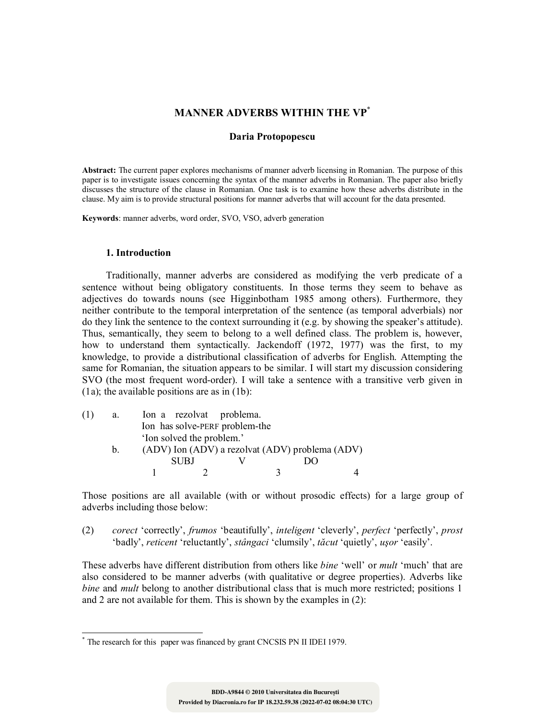# **MANNER ADVERBS WITHIN THE VP**\*

### **Daria Protopopescu**

**Abstract:** The current paper explores mechanisms of manner adverb licensing in Romanian. The purpose of this paper is to investigate issues concerning the syntax of the manner adverbs in Romanian. The paper also briefly discusses the structure of the clause in Romanian. One task is to examine how these adverbs distribute in the clause. My aim is to provide structural positions for manner adverbs that will account for the data presented.

**Keywords**: manner adverbs, word order, SVO, VSO, adverb generation

### **1. Introduction**

-

Traditionally, manner adverbs are considered as modifying the verb predicate of a sentence without being obligatory constituents. In those terms they seem to behave as adjectives do towards nouns (see Higginbotham 1985 among others). Furthermore, they neither contribute to the temporal interpretation of the sentence (as temporal adverbials) nor do they link the sentence to the context surrounding it (e.g. by showing the speaker's attitude). Thus, semantically, they seem to belong to a well defined class. The problem is, however, how to understand them syntactically. Jackendoff (1972, 1977) was the first, to my knowledge, to provide a distributional classification of adverbs for English. Attempting the same for Romanian, the situation appears to be similar. I will start my discussion considering SVO (the most frequent word-order). I will take a sentence with a transitive verb given in (1a); the available positions are as in (1b):

| (1) | a.      |                           | Ion a rezolvat problema.                        |               |  |
|-----|---------|---------------------------|-------------------------------------------------|---------------|--|
|     |         |                           | Ion has solve-PERF problem-the                  |               |  |
|     |         | 'Ion solved the problem.' |                                                 |               |  |
|     | $b_{-}$ |                           | (ADV) Ion (ADV) a rezolvat (ADV) problema (ADV) |               |  |
|     |         | SUBJ                      |                                                 | $\mathcal{Y}$ |  |
|     |         |                           |                                                 |               |  |

Those positions are all available (with or without prosodic effects) for a large group of adverbs including those below:

(2) *corect* 'correctly', *frumos* 'beautifully', *inteligent* 'cleverly', *perfect* 'perfectly', *prost*  'badly', *reticent* 'reluctantly', *stângaci* 'clumsily', *tăcut* 'quietly', *uşor* 'easily'.

These adverbs have different distribution from others like *bine* 'well' or *mult* 'much' that are also considered to be manner adverbs (with qualitative or degree properties). Adverbs like *bine* and *mult* belong to another distributional class that is much more restricted; positions 1 and 2 are not available for them. This is shown by the examples in (2):

<sup>\*</sup> The research for this paper was financed by grant CNCSIS PN II IDEI 1979.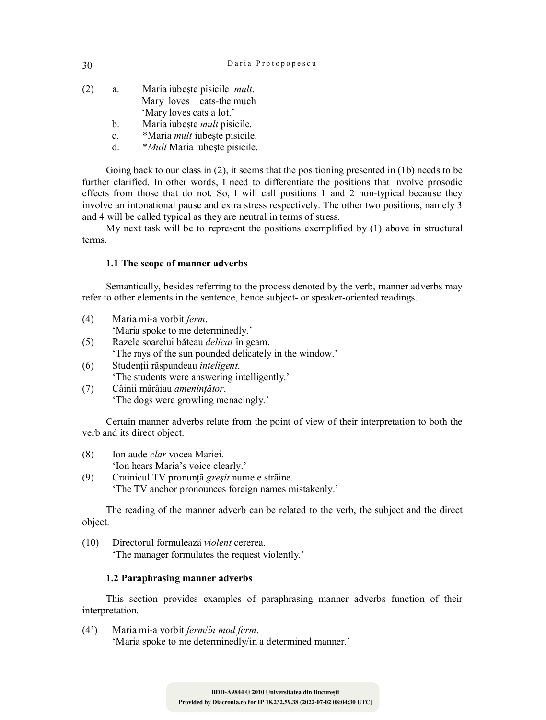| (2) | a. | Maria iubește pisicile <i>mult</i> . |
|-----|----|--------------------------------------|
|     |    | Mary loves cats-the much             |
|     |    | 'Mary loves cats a lot.'             |
|     | b. | Maria iubește <i>mult</i> pisicile.  |

- c. \*Maria *mult* iubeşte pisicile.
- d. \**Mult* Maria iubeşte pisicile.

Going back to our class in (2), it seems that the positioning presented in (1b) needs to be further clarified. In other words, I need to differentiate the positions that involve prosodic effects from those that do not. So, I will call positions 1 and 2 non-typical because they involve an intonational pause and extra stress respectively. The other two positions, namely 3 and 4 will be called typical as they are neutral in terms of stress.

My next task will be to represent the positions exemplified by (1) above in structural terms.

### **1.1 The scope of manner adverbs**

Semantically, besides referring to the process denoted by the verb, manner adverbs may refer to other elements in the sentence, hence subject- or speaker-oriented readings.

- (4) Maria mi-a vorbit *ferm*. 'Maria spoke to me determinedly.'
- (5) Razele soarelui băteau *delicat* în geam. 'The rays of the sun pounded delicately in the window.'
- (6) Studenţii răspundeau *inteligent*. 'The students were answering intelligently.'
- (7) Câinii mârâiau *ameninţător*. 'The dogs were growling menacingly.'

Certain manner adverbs relate from the point of view of their interpretation to both the verb and its direct object.

- (8) Ion aude *clar* vocea Mariei. 'Ion hears Maria's voice clearly.'
- (9) Crainicul TV pronunţă *greşit* numele străine. 'The TV anchor pronounces foreign names mistakenly.'

The reading of the manner adverb can be related to the verb, the subject and the direct object.

(10) Directorul formulează *violent* cererea. 'The manager formulates the request violently.'

### **1.2 Paraphrasing manner adverbs**

This section provides examples of paraphrasing manner adverbs function of their interpretation.

(4') Maria mi-a vorbit *ferm*/*în mod ferm*. 'Maria spoke to me determinedly/in a determined manner.'

**Provided by Diacronia.ro for IP 18.232.59.38 (2022-07-02 08:04:30 UTC) BDD-A9844 © 2010 Universitatea din București**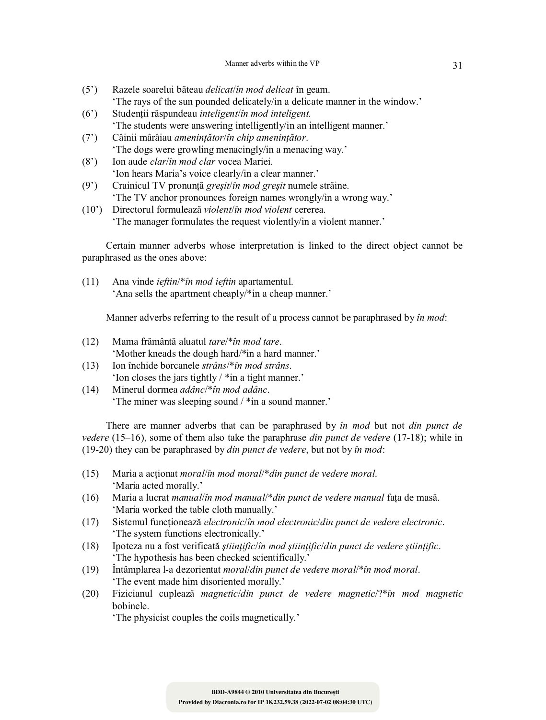- (5') Razele soarelui băteau *delicat*/*în mod delicat* în geam. 'The rays of the sun pounded delicately/in a delicate manner in the window.'
- (6') Studenţii răspundeau *inteligent*/*în mod inteligent.* 'The students were answering intelligently/in an intelligent manner.'
- (7') Câinii mârâiau *ameninţător*/*în chip ameninţător*. 'The dogs were growling menacingly/in a menacing way.'
- (8') Ion aude *clar*/*în mod clar* vocea Mariei. 'Ion hears Maria's voice clearly/in a clear manner.'
- (9') Crainicul TV pronunţă *greşit*/*în mod greşit* numele străine. 'The TV anchor pronounces foreign names wrongly/in a wrong way.'
- (10') Directorul formulează *violent*/*în mod violent* cererea. 'The manager formulates the request violently/in a violent manner.'

Certain manner adverbs whose interpretation is linked to the direct object cannot be paraphrased as the ones above:

(11) Ana vinde *ieftin*/\**în mod ieftin* apartamentul. 'Ana sells the apartment cheaply/\*in a cheap manner.'

Manner adverbs referring to the result of a process cannot be paraphrased by *în mod*:

- (12) Mama frământă aluatul *tare*/\**în mod tare*. 'Mother kneads the dough hard/\*in a hard manner.'
- (13) Ion închide borcanele *strâns*/\**în mod strâns*. 'Ion closes the jars tightly / \*in a tight manner.'
- (14) Minerul dormea *adânc*/\**în mod adânc*. 'The miner was sleeping sound / \*in a sound manner.'

There are manner adverbs that can be paraphrased by *în mod* but not *din punct de vedere* (15–16), some of them also take the paraphrase *din punct de vedere* (17-18); while in (19-20) they can be paraphrased by *din punct de vedere*, but not by *în mod*:

- (15) Maria a acţionat *moral*/*în mod moral*/\**din punct de vedere moral*. 'Maria acted morally.'
- (16) Maria a lucrat *manual*/*în mod manual*/\**din punct de vedere manual* faţa de masă. 'Maria worked the table cloth manually.'
- (17) Sistemul funcţionează *electronic*/*în mod electronic*/*din punct de vedere electronic*. 'The system functions electronically.'
- (18) Ipoteza nu a fost verificată *ştiinţific*/*în mod ştiinţific*/*din punct de vedere ştiinţific*. 'The hypothesis has been checked scientifically.'
- (19) Întâmplarea l-a dezorientat *moral*/*din punct de vedere moral*/\**în mod moral*. 'The event made him disoriented morally.'
- (20) Fizicianul cuplează *magnetic*/*din punct de vedere magnetic*/?\**în mod magnetic* bobinele.

'The physicist couples the coils magnetically.'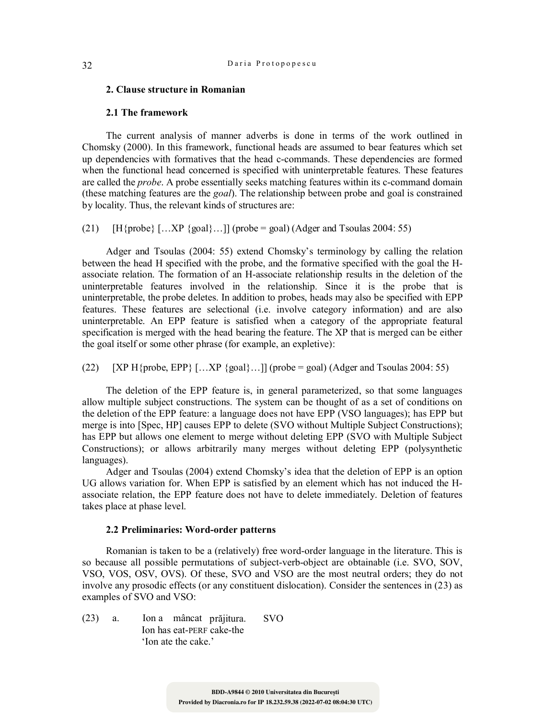#### **2. Clause structure in Romanian**

#### **2.1 The framework**

The current analysis of manner adverbs is done in terms of the work outlined in Chomsky (2000). In this framework, functional heads are assumed to bear features which set up dependencies with formatives that the head c-commands. These dependencies are formed when the functional head concerned is specified with uninterpretable features. These features are called the *probe*. A probe essentially seeks matching features within its c-command domain (these matching features are the *goal*). The relationship between probe and goal is constrained by locality. Thus, the relevant kinds of structures are:

(21)  $[H\{probe\}$  [...XP  $\{goal\}$ ...]] (probe = goal) (Adger and Tsoulas 2004: 55)

Adger and Tsoulas (2004: 55) extend Chomsky's terminology by calling the relation between the head H specified with the probe, and the formative specified with the goal the Hassociate relation. The formation of an H-associate relationship results in the deletion of the uninterpretable features involved in the relationship. Since it is the probe that is uninterpretable, the probe deletes. In addition to probes, heads may also be specified with EPP features. These features are selectional (i.e. involve category information) and are also uninterpretable. An EPP feature is satisfied when a category of the appropriate featural specification is merged with the head bearing the feature. The XP that is merged can be either the goal itself or some other phrase (for example, an expletive):

 $(22)$  [XP H{probe, EPP} […XP {goal}…]] (probe = goal) (Adger and Tsoulas 2004: 55)

The deletion of the EPP feature is, in general parameterized, so that some languages allow multiple subject constructions. The system can be thought of as a set of conditions on the deletion of the EPP feature: a language does not have EPP (VSO languages); has EPP but merge is into [Spec, HP] causes EPP to delete (SVO without Multiple Subject Constructions); has EPP but allows one element to merge without deleting EPP (SVO with Multiple Subject Constructions); or allows arbitrarily many merges without deleting EPP (polysynthetic languages).

Adger and Tsoulas (2004) extend Chomsky's idea that the deletion of EPP is an option UG allows variation for. When EPP is satisfied by an element which has not induced the Hassociate relation, the EPP feature does not have to delete immediately. Deletion of features takes place at phase level.

### **2.2 Preliminaries: Word-order patterns**

Romanian is taken to be a (relatively) free word-order language in the literature. This is so because all possible permutations of subject-verb-object are obtainable (i.e. SVO, SOV, VSO, VOS, OSV, OVS). Of these, SVO and VSO are the most neutral orders; they do not involve any prosodic effects (or any constituent dislocation). Consider the sentences in (23) as examples of SVO and VSO:

(23) a. Ion a mâncat prăjitura. SVO Ion has eat-PERF cake-the 'Ion ate the cake.'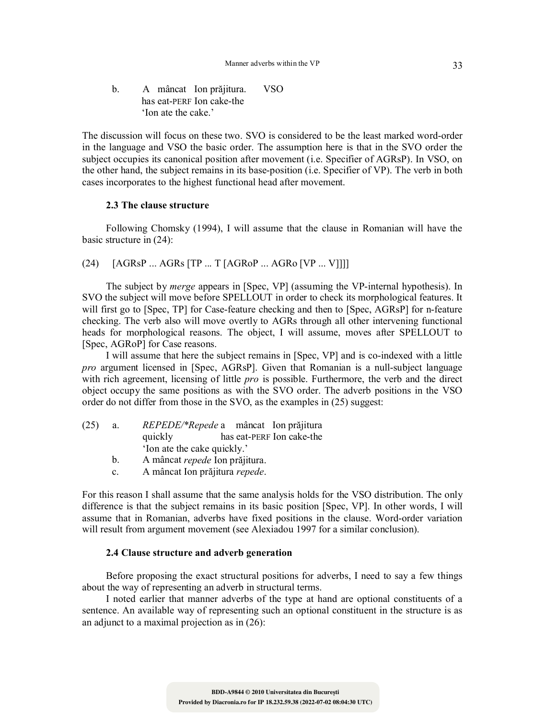b. A mâncat Ion prăjitura. VSO has eat-PERF Ion cake-the 'Ion ate the cake.'

The discussion will focus on these two. SVO is considered to be the least marked word-order in the language and VSO the basic order. The assumption here is that in the SVO order the subject occupies its canonical position after movement (i.e. Specifier of AGRsP). In VSO, on the other hand, the subject remains in its base-position (i.e. Specifier of VP). The verb in both cases incorporates to the highest functional head after movement.

### **2.3 The clause structure**

Following Chomsky (1994), I will assume that the clause in Romanian will have the basic structure in (24):

 $(24)$  [AGRsP ... AGRs [TP ... T [AGRoP ... AGRo [VP ... V]]]]

The subject by *merge* appears in [Spec, VP] (assuming the VP-internal hypothesis). In SVO the subject will move before SPELLOUT in order to check its morphological features. It will first go to [Spec, TP] for Case-feature checking and then to [Spec, AGRsP] for n-feature checking. The verb also will move overtly to AGRs through all other intervening functional heads for morphological reasons. The object, I will assume, moves after SPELLOUT to [Spec, AGRoP] for Case reasons.

I will assume that here the subject remains in [Spec, VP] and is co-indexed with a little *pro* argument licensed in [Spec, AGRsP]. Given that Romanian is a null-subject language with rich agreement, licensing of little *pro* is possible. Furthermore, the verb and the direct object occupy the same positions as with the SVO order. The adverb positions in the VSO order do not differ from those in the SVO, as the examples in (25) suggest:

| (25) | а. | <i>REPEDE</i> /* <i>Repede</i> a mâncat Ion prăjitura |  |                           |
|------|----|-------------------------------------------------------|--|---------------------------|
|      |    | quickly                                               |  | has eat-PERF Ion cake-the |
|      |    | 'Ion ate the cake quickly.'                           |  |                           |

- b. A mâncat *repede* Ion prăjitura.
- c. A mâncat Ion prăjitura *repede*.

For this reason I shall assume that the same analysis holds for the VSO distribution. The only difference is that the subject remains in its basic position [Spec, VP]. In other words, I will assume that in Romanian, adverbs have fixed positions in the clause. Word-order variation will result from argument movement (see Alexiadou 1997 for a similar conclusion).

### **2.4 Clause structure and adverb generation**

Before proposing the exact structural positions for adverbs, I need to say a few things about the way of representing an adverb in structural terms.

I noted earlier that manner adverbs of the type at hand are optional constituents of a sentence. An available way of representing such an optional constituent in the structure is as an adjunct to a maximal projection as in (26):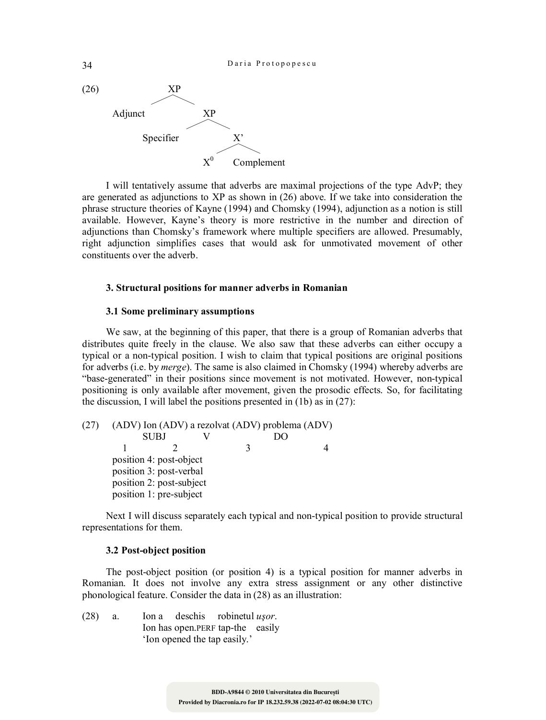

I will tentatively assume that adverbs are maximal projections of the type AdvP; they are generated as adjunctions to XP as shown in (26) above. If we take into consideration the phrase structure theories of Kayne (1994) and Chomsky (1994), adjunction as a notion is still available. However, Kayne's theory is more restrictive in the number and direction of adjunctions than Chomsky's framework where multiple specifiers are allowed. Presumably, right adjunction simplifies cases that would ask for unmotivated movement of other constituents over the adverb.

### **3. Structural positions for manner adverbs in Romanian**

### **3.1 Some preliminary assumptions**

We saw, at the beginning of this paper, that there is a group of Romanian adverbs that distributes quite freely in the clause. We also saw that these adverbs can either occupy a typical or a non-typical position. I wish to claim that typical positions are original positions for adverbs (i.e. by *merge*). The same is also claimed in Chomsky (1994) whereby adverbs are "base-generated" in their positions since movement is not motivated. However, non-typical positioning is only available after movement, given the prosodic effects. So, for facilitating the discussion, I will label the positions presented in (1b) as in (27):

(27) (ADV) Ion (ADV) a rezolvat (ADV) problema (ADV) SUBJ V DO 1 2 3 4 position 4: post-object position 3: post-verbal position 2: post-subject position 1: pre-subject

Next I will discuss separately each typical and non-typical position to provide structural representations for them.

### **3.2 Post-object position**

The post-object position (or position 4) is a typical position for manner adverbs in Romanian. It does not involve any extra stress assignment or any other distinctive phonological feature. Consider the data in (28) as an illustration:

(28) a. Ion a deschis robinetul *uşor*. Ion has open.PERF tap-the easily 'Ion opened the tap easily.'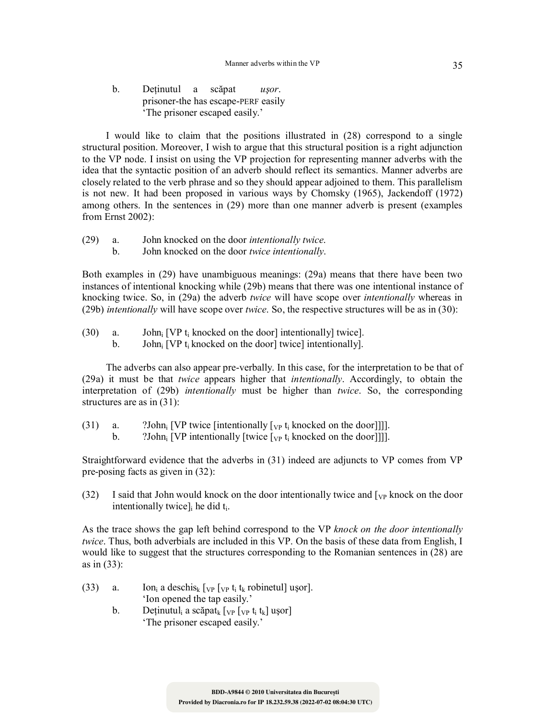b. Deţinutul a scăpat *uşor*. prisoner-the has escape-PERF easily 'The prisoner escaped easily.'

I would like to claim that the positions illustrated in (28) correspond to a single structural position. Moreover, I wish to argue that this structural position is a right adjunction to the VP node. I insist on using the VP projection for representing manner adverbs with the idea that the syntactic position of an adverb should reflect its semantics. Manner adverbs are closely related to the verb phrase and so they should appear adjoined to them. This parallelism is not new. It had been proposed in various ways by Chomsky (1965), Jackendoff (1972) among others. In the sentences in (29) more than one manner adverb is present (examples from Ernst 2002):

(29) a. John knocked on the door *intentionally twice*. b. John knocked on the door *twice intentionally*.

Both examples in (29) have unambiguous meanings: (29a) means that there have been two instances of intentional knocking while (29b) means that there was one intentional instance of knocking twice. So, in (29a) the adverb *twice* will have scope over *intentionally* whereas in (29b) *intentionally* will have scope over *twice*. So, the respective structures will be as in (30):

- (30) a. John<sub>i</sub> [VP t<sub>i</sub> knocked on the door] intentionally] twice].
	- b. John<sub>i</sub> [VP  $t_i$  knocked on the door] twice] intentionally].

The adverbs can also appear pre-verbally. In this case, for the interpretation to be that of (29a) it must be that *twice* appears higher that *intentionally*. Accordingly, to obtain the interpretation of (29b) *intentionally* must be higher than *twice*. So, the corresponding structures are as in  $(31)$ :

- (31) a. ?John<sub>i</sub> [VP twice [intentionally  $[\nabla_{\mathbf{P}} t_i]$  knocked on the door]]].
	- b.  $\sum_{i=1}^{\infty}$  ?John<sub>i</sub> [VP intentionally [twice  $[\sqrt{v}t_i]$  knocked on the door]]].

Straightforward evidence that the adverbs in (31) indeed are adjuncts to VP comes from VP pre-posing facts as given in (32):

(32) I said that John would knock on the door intentionally twice and  $[\gamma_{\rm P}$  knock on the door intentionally twice] $\,$  he did t<sub>i</sub>.

As the trace shows the gap left behind correspond to the VP *knock on the door intentionally twice*. Thus, both adverbials are included in this VP. On the basis of these data from English, I would like to suggest that the structures corresponding to the Romanian sentences in (28) are as in (33):

- (33) a. Ion<sub>i</sub> a deschis<sub>k</sub>  $[\text{vp } [\text{vp } t_i]$  t<sub>k</sub> robinetul] uşor]. 'Ion opened the tap easily.'
	- b. Deținutul<sub>i</sub> a scăpat<sub>k</sub>  $[\n\psi_{P} \mathbf{t}_{i} \mathbf{t}_{k}]$  ușor 'The prisoner escaped easily.'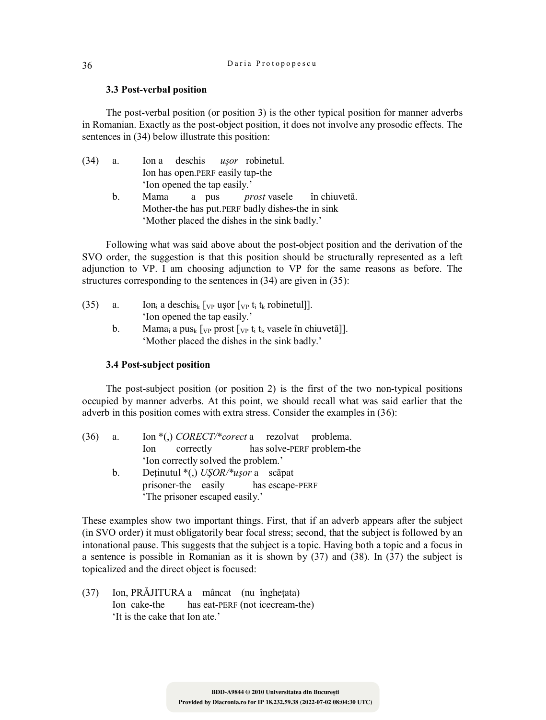### **3.3 Post-verbal position**

The post-verbal position (or position 3) is the other typical position for manner adverbs in Romanian. Exactly as the post-object position, it does not involve any prosodic effects. The sentences in (34) below illustrate this position:

| (34) | a.             |                              |  | Ion a deschis usor robinetul.                     |  |  |
|------|----------------|------------------------------|--|---------------------------------------------------|--|--|
|      |                |                              |  | Ion has open. PERF easily tap-the                 |  |  |
|      |                | 'Ion opened the tap easily.' |  |                                                   |  |  |
|      | $\mathbf{b}$ . | Mama                         |  | a pus <i>prost</i> vasele în chiuvetă.            |  |  |
|      |                |                              |  | Mother-the has put. PERF badly dishes-the in sink |  |  |
|      |                |                              |  | 'Mother placed the dishes in the sink badly.'     |  |  |

Following what was said above about the post-object position and the derivation of the SVO order, the suggestion is that this position should be structurally represented as a left adjunction to VP. I am choosing adjunction to VP for the same reasons as before. The structures corresponding to the sentences in (34) are given in (35):

| (35) | a. | Ion <sub>i</sub> a deschis <sub>k</sub> [ <sub>VP</sub> usor [ <sub>VP</sub> t <sub>i</sub> t <sub>k</sub> robinetul]].        |
|------|----|--------------------------------------------------------------------------------------------------------------------------------|
|      |    | 'Ion opened the tap easily.'                                                                                                   |
|      | h. | Mama <sub>i</sub> a pus <sub>k</sub> [ <sub>VP</sub> prost [ <sub>VP</sub> t <sub>i</sub> t <sub>k</sub> vasele în chiuvetă]]. |
|      |    | 'Mother placed the dishes in the sink badly.'                                                                                  |

### **3.4 Post-subject position**

The post-subject position (or position 2) is the first of the two non-typical positions occupied by manner adverbs. At this point, we should recall what was said earlier that the adverb in this position comes with extra stress. Consider the examples in (36):

| (36) | a.      | Ion $*(.)$ <i>CORECT</i> /* <i>corect</i> a rezolvat problema. |
|------|---------|----------------------------------------------------------------|
|      |         | correctly has solve-PERF problem-the<br>lon                    |
|      |         | 'Ion correctly solved the problem.'                            |
|      | $b_{1}$ | Deținutul *(,) USOR/*ușor a scăpat                             |
|      |         | prisoner-the easily has escape-PERF                            |
|      |         | 'The prisoner escaped easily.'                                 |

These examples show two important things. First, that if an adverb appears after the subject (in SVO order) it must obligatorily bear focal stress; second, that the subject is followed by an intonational pause. This suggests that the subject is a topic. Having both a topic and a focus in a sentence is possible in Romanian as it is shown by (37) and (38). In (37) the subject is topicalized and the direct object is focused:

(37) Ion, PRĂJITURA a mâncat (nu îngheţata) Ion cake-the has eat-PERF (not icecream-the) 'It is the cake that Ion ate.'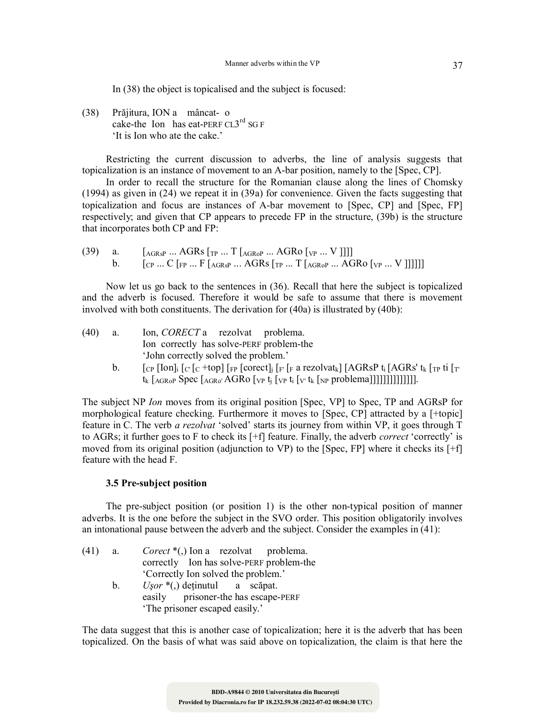In (38) the object is topicalised and the subject is focused:

(38) Prăjitura, ION a mâncat- o cake-the Ion has eat-PERF  $CL3^{rd}$  SG F 'It is Ion who ate the cake.'

Restricting the current discussion to adverbs, the line of analysis suggests that topicalization is an instance of movement to an A-bar position, namely to the [Spec, CP].

In order to recall the structure for the Romanian clause along the lines of Chomsky (1994) as given in (24) we repeat it in (39a) for convenience. Given the facts suggesting that topicalization and focus are instances of A-bar movement to [Spec, CP] and [Spec, FP] respectively; and given that CP appears to precede FP in the structure, (39b) is the structure that incorporates both CP and FP:

(39) a.  $[A_{GRsp} \dots AGRs [T_{TP} \dots T]_{AGRop} \dots AGR_0$  [<sub>VP</sub> ... V ]]]] b.  $[c_{P}... C_{FP}... F_{AGRsP}... AGRs_{TP}... T_{AGRoP}... AGRo_{VP}... V]]]]]$ 

Now let us go back to the sentences in (36). Recall that here the subject is topicalized and the adverb is focused. Therefore it would be safe to assume that there is movement involved with both constituents. The derivation for (40a) is illustrated by (40b):

| (40) | a.      | Ion, <i>CORECT</i> a rezolvat problema.                                                                                                                                                                                                                                                                                                                                     |
|------|---------|-----------------------------------------------------------------------------------------------------------------------------------------------------------------------------------------------------------------------------------------------------------------------------------------------------------------------------------------------------------------------------|
|      |         | Ion correctly has solve-PERF problem-the                                                                                                                                                                                                                                                                                                                                    |
|      |         | 'John correctly solved the problem.'                                                                                                                                                                                                                                                                                                                                        |
|      | $b_{1}$ | $\lceil_{CP} \lceil \text{Ion} \rceil$ $\lceil_{C} \lceil_{C} + \text{top} \rceil$ $\lceil_{FP} \lceil_{C} \text{orect} \rceil$ $\lceil_{F} \lceil_{F} \text{arezolvat}_{k} \rceil$ $\lceil \text{AGRsP t}_{i} \rceil$ $\text{AGRs'}$ $t_{k} \lceil_{TP} \text{ti} \rceil$<br>$t_k$ [AGRoP Spec [AGRo' AGRO [vp $t_i$ [vp $t_i$ [v $t_k$ [NP problema]]]]]]]]]]]]]]]]]]]]]] |
|      |         |                                                                                                                                                                                                                                                                                                                                                                             |

The subject NP *Ion* moves from its original position [Spec, VP] to Spec, TP and AGRsP for morphological feature checking. Furthermore it moves to [Spec, CP] attracted by a [+topic] feature in C. The verb *a rezolvat* 'solved' starts its journey from within VP, it goes through T to AGRs; it further goes to F to check its [+f] feature. Finally, the adverb *correct* 'correctly' is moved from its original position (adjunction to VP) to the [Spec, FP] where it checks its [+f] feature with the head F.

## **3.5 Pre-subject position**

The pre-subject position (or position 1) is the other non-typical position of manner adverbs. It is the one before the subject in the SVO order. This position obligatorily involves an intonational pause between the adverb and the subject. Consider the examples in (41):

| $(41)$ a. |         | <i>Corect</i> $*(.)$ Ion a rezolvat problema. |
|-----------|---------|-----------------------------------------------|
|           |         | correctly Ion has solve-PERF problem-the      |
|           |         | Correctly Ion solved the problem.'            |
|           | $b_{-}$ | $U$ <i>sor</i> *(,) deținutul a scăpat.       |
|           |         | easily prisoner-the has escape-PERF           |
|           |         | 'The prisoner escaped easily.'                |

The data suggest that this is another case of topicalization; here it is the adverb that has been topicalized. On the basis of what was said above on topicalization, the claim is that here the